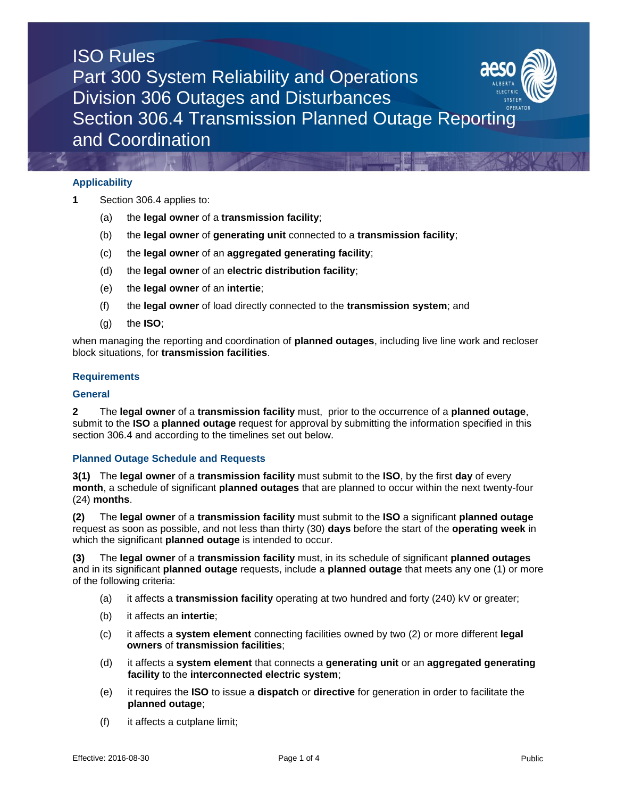## ISO Rules Part 300 System Reliability and Operations Division 306 Outages and Disturbances Section 306.4 Transmission Planned Outage Reporting and Coordination

### **Applicability**

- **1** Section 306.4 applies to:
	- (a) the **legal owner** of a **transmission facility**;
	- (b) the **legal owner** of **generating unit** connected to a **transmission facility**;
	- (c) the **legal owner** of an **aggregated generating facility**;
	- (d) the **legal owner** of an **electric distribution facility**;
	- (e) the **legal owner** of an **intertie**;
	- (f) the **legal owner** of load directly connected to the **transmission system**; and
	- (g) the **ISO**;

when managing the reporting and coordination of **planned outages**, including live line work and recloser block situations, for **transmission facilities**.

### **Requirements**

### **General**

**2** The **legal owner** of a **transmission facility** must, prior to the occurrence of a **planned outage**, submit to the **ISO** a **planned outage** request for approval by submitting the information specified in this section 306.4 and according to the timelines set out below.

### **Planned Outage Schedule and Requests**

**3(1)** The **legal owner** of a **transmission facility** must submit to the **ISO**, by the first **day** of every **month**, a schedule of significant **planned outages** that are planned to occur within the next twenty-four (24) **months**.

**(2)** The **legal owner** of a **transmission facility** must submit to the **ISO** a significant **planned outage** request as soon as possible, and not less than thirty (30) **days** before the start of the **operating week** in which the significant **planned outage** is intended to occur.

**(3)** The **legal owner** of a **transmission facility** must, in its schedule of significant **planned outages**  and in its significant **planned outage** requests, include a **planned outage** that meets any one (1) or more of the following criteria:

- (a) it affects a **transmission facility** operating at two hundred and forty (240) kV or greater;
- (b) it affects an **intertie**;
- (c) it affects a **system element** connecting facilities owned by two (2) or more different **legal owners** of **transmission facilities**;
- (d) it affects a **system element** that connects a **generating unit** or an **aggregated generating facility** to the **interconnected electric system**;
- (e) it requires the **ISO** to issue a **dispatch** or **directive** for generation in order to facilitate the **planned outage**;
- (f) it affects a cutplane limit;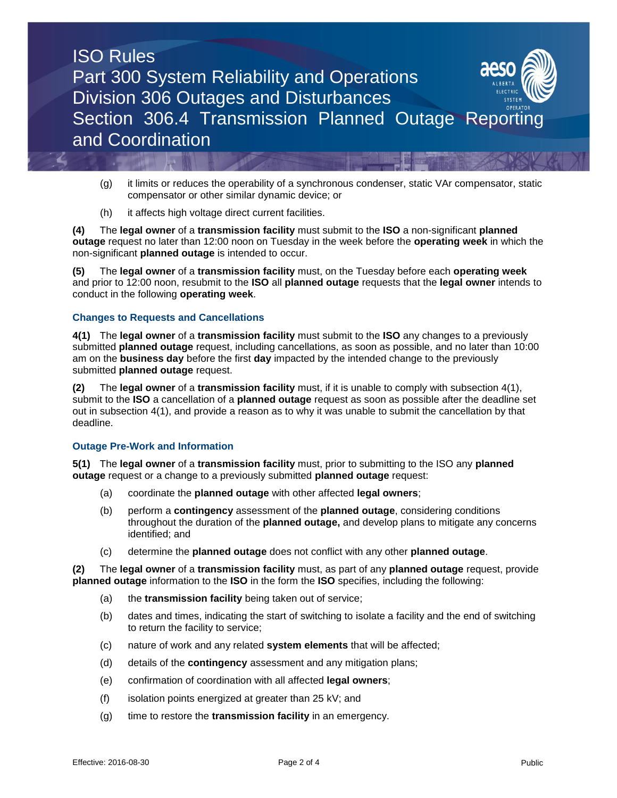

- (g) it limits or reduces the operability of a synchronous condenser, static VAr compensator, static compensator or other similar dynamic device; or
- (h) it affects high voltage direct current facilities.

**(4)** The **legal owner** of a **transmission facility** must submit to the **ISO** a non-significant **planned outage** request no later than 12:00 noon on Tuesday in the week before the **operating week** in which the non-significant **planned outage** is intended to occur.

**(5)** The **legal owner** of a **transmission facility** must, on the Tuesday before each **operating week** and prior to 12:00 noon, resubmit to the **ISO** all **planned outage** requests that the **legal owner** intends to conduct in the following **operating week**.

### **Changes to Requests and Cancellations**

**4(1)** The **legal owner** of a **transmission facility** must submit to the **ISO** any changes to a previously submitted **planned outage** request, including cancellations, as soon as possible, and no later than 10:00 am on the **business day** before the first **day** impacted by the intended change to the previously submitted **planned outage** request.

**(2)** The **legal owner** of a **transmission facility** must, if it is unable to comply with subsection 4(1), submit to the **ISO** a cancellation of a **planned outage** request as soon as possible after the deadline set out in subsection 4(1), and provide a reason as to why it was unable to submit the cancellation by that deadline.

### **Outage Pre-Work and Information**

**5(1)** The **legal owner** of a **transmission facility** must, prior to submitting to the ISO any **planned outage** request or a change to a previously submitted **planned outage** request:

- (a) coordinate the **planned outage** with other affected **legal owners**;
- (b) perform a **contingency** assessment of the **planned outage**, considering conditions throughout the duration of the **planned outage,** and develop plans to mitigate any concerns identified; and
- (c) determine the **planned outage** does not conflict with any other **planned outage**.

**(2)** The **legal owner** of a **transmission facility** must, as part of any **planned outage** request, provide **planned outage** information to the **ISO** in the form the **ISO** specifies, including the following:

- (a) the **transmission facility** being taken out of service;
- (b) dates and times, indicating the start of switching to isolate a facility and the end of switching to return the facility to service;
- (c) nature of work and any related **system elements** that will be affected;
- (d) details of the **contingency** assessment and any mitigation plans;
- (e) confirmation of coordination with all affected **legal owners**;
- (f) isolation points energized at greater than 25 kV; and
- (g) time to restore the **transmission facility** in an emergency.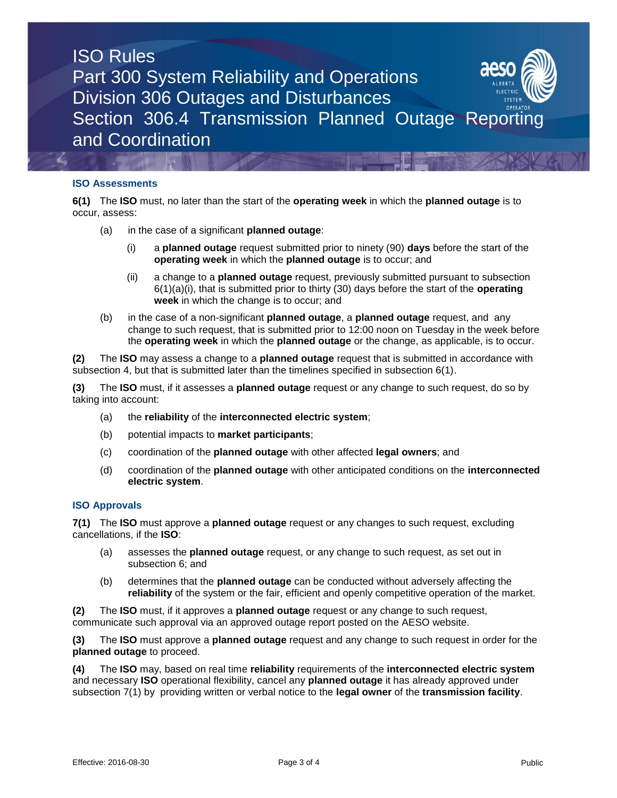# ISO Rules Part 300 System Reliability and Operations Division 306 Outages and Disturbances Section 306.4 Transmission Planned Outage Reporti and Coordination

### **ISO Assessments**

**6(1)** The **ISO** must, no later than the start of the **operating week** in which the **planned outage** is to occur, assess:

- (a) in the case of a significant **planned outage**:
	- (i) a **planned outage** request submitted prior to ninety (90) **days** before the start of the **operating week** in which the **planned outage** is to occur; and
	- (ii) a change to a **planned outage** request, previously submitted pursuant to subsection 6(1)(a)(i), that is submitted prior to thirty (30) days before the start of the **operating week** in which the change is to occur; and
- (b) in the case of a non-significant **planned outage**, a **planned outage** request, and any change to such request, that is submitted prior to 12:00 noon on Tuesday in the week before the **operating week** in which the **planned outage** or the change, as applicable, is to occur.

**(2)** The **ISO** may assess a change to a **planned outage** request that is submitted in accordance with subsection 4, but that is submitted later than the timelines specified in subsection 6(1).

**(3)** The **ISO** must, if it assesses a **planned outage** request or any change to such request, do so by taking into account:

- (a) the **reliability** of the **interconnected electric system**;
- (b) potential impacts to **market participants**;
- (c) coordination of the **planned outage** with other affected **legal owners**; and
- (d) coordination of the **planned outage** with other anticipated conditions on the **interconnected electric system**.

### **ISO Approvals**

**7(1)** The **ISO** must approve a **planned outage** request or any changes to such request, excluding cancellations, if the **ISO**:

- (a) assesses the **planned outage** request, or any change to such request, as set out in subsection 6; and
- (b) determines that the **planned outage** can be conducted without adversely affecting the **reliability** of the system or the fair, efficient and openly competitive operation of the market.

**(2)** The **ISO** must, if it approves a **planned outage** request or any change to such request, communicate such approval via an approved outage report posted on the AESO website.

**(3)** The **ISO** must approve a **planned outage** request and any change to such request in order for the **planned outage** to proceed.

**(4)** The **ISO** may, based on real time **reliability** requirements of the **interconnected electric system**  and necessary **ISO** operational flexibility, cancel any **planned outage** it has already approved under subsection 7(1) by providing written or verbal notice to the **legal owner** of the **transmission facility**.